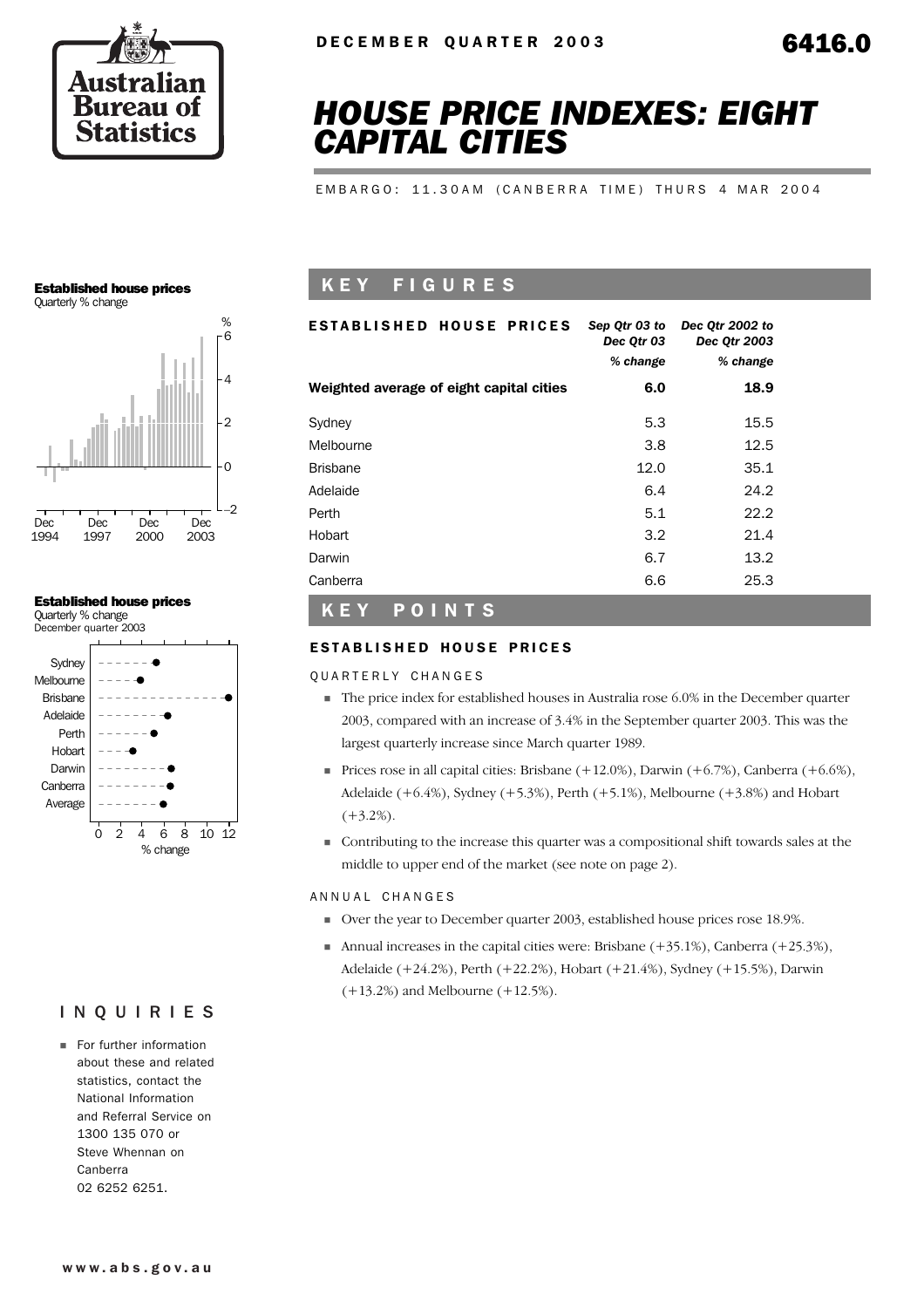

# *HOUSE PRICE INDEXES: EIGHT CAPITAL CITIES*

EMBARGO: 11.30AM (CANBERRA TIME) THURS 4 MAR 2004

#### Established house prices

Quarterly % change



#### Established house prices

Quarterly % change December quarter 2003



### INQUIRIES

**For further information** about these and related statistics, contact the National Information and Referral Service on 1300 135 070 or Steve Whennan on Canberra 02 6252 6251.

## K E Y F I G U R E S

| ESTABLISHED HOUSE PRICES                 | Sep Qtr 03 to<br>Dec Qtr 03<br>% change | Dec Otr 2002 to<br>Dec Qtr 2003<br>% change |
|------------------------------------------|-----------------------------------------|---------------------------------------------|
| Weighted average of eight capital cities | 6.0                                     | 18.9                                        |
| Sydney                                   | 5.3                                     | 15.5                                        |
| Melbourne                                | 3.8                                     | 12.5                                        |
| <b>Brisbane</b>                          | 12.0                                    | 35.1                                        |
| Adelaide                                 | 6.4                                     | 24.2                                        |
| Perth                                    | 5.1                                     | 22.2                                        |
| Hobart                                   | 3.2                                     | 21.4                                        |
| Darwin                                   | 6.7                                     | 13.2                                        |
| Canberra                                 | 6.6                                     | 25.3                                        |

#### K E Y P O I N T S

#### ESTABLISHED HOUSE PRICES

Q U A R T E R L Y C H A N G E S

- ! The price index for established houses in Australia rose 6.0% in the December quarter 2003, compared with an increase of 3.4% in the September quarter 2003. This was the largest quarterly increase since March quarter 1989.
- Prices rose in all capital cities: Brisbane  $(+12.0\%)$ , Darwin  $(+6.7\%)$ , Canberra  $(+6.6\%)$ , Adelaide  $(+6.4\%)$ , Sydney  $(+5.3\%)$ , Perth  $(+5.1\%)$ , Melbourne  $(+3.8\%)$  and Hobart  $(+3.2\%)$ .
- ! Contributing to the increase this quarter was a compositional shift towards sales at the middle to upper end of the market (see note on page 2).

#### ANNUAL CHANGES

- ! Over the year to December quarter 2003, established house prices rose 18.9%.
- **I.** Annual increases in the capital cities were: Brisbane  $(+35.1\%)$ , Canberra  $(+25.3\%)$ , Adelaide (+24.2%), Perth (+22.2%), Hobart (+21.4%), Sydney (+15.5%), Darwin (+13.2%) and Melbourne (+12.5%).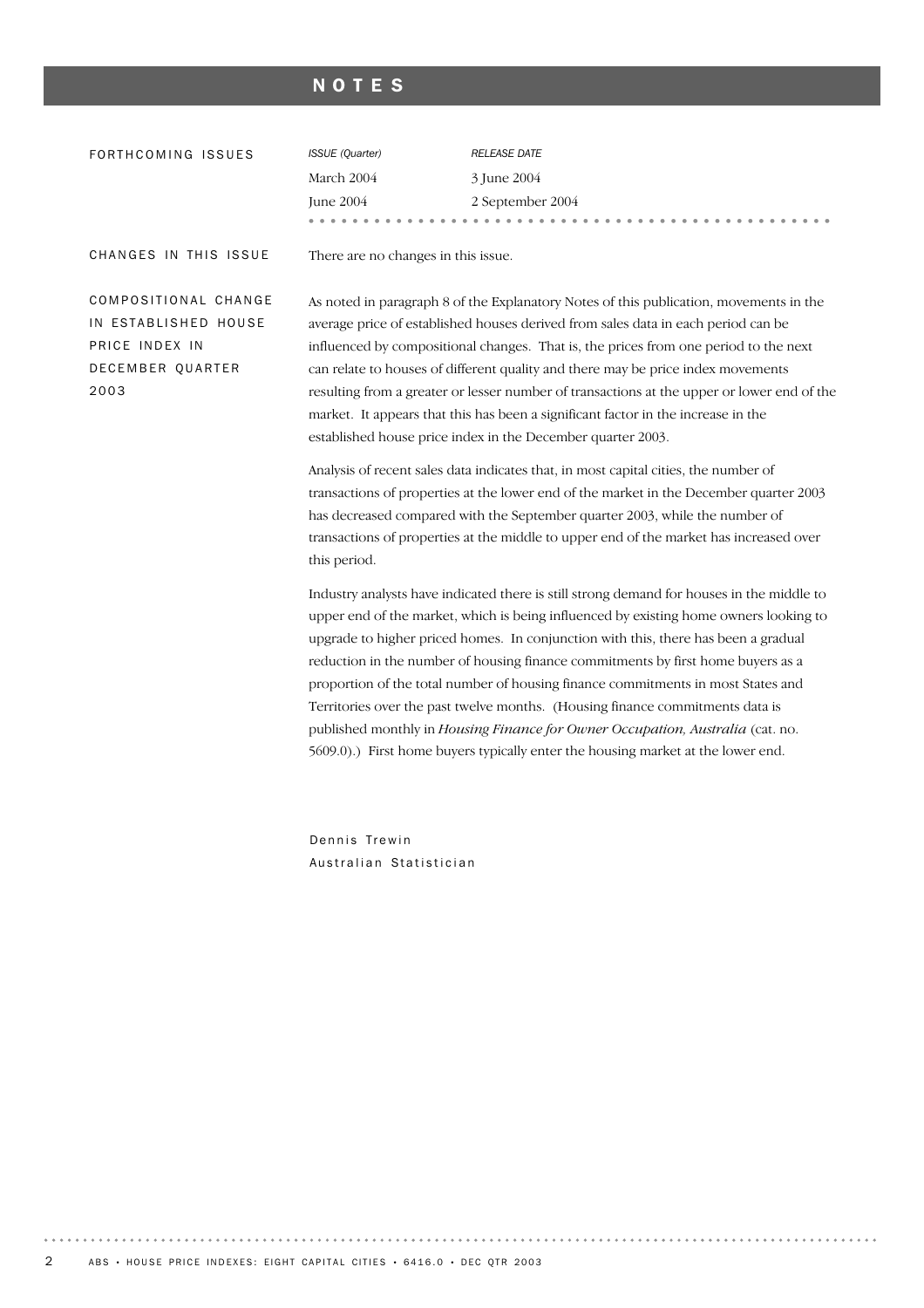#### NOTES

| FORTHCOMING ISSUES    | <b>ISSUE</b> (Quarter)              | <b>RELEASE DATE</b> |
|-----------------------|-------------------------------------|---------------------|
|                       | March 2004                          | 3 June 2004         |
|                       | June 2004                           | 2 September 2004    |
|                       | $- -$                               | .                   |
| CHANGES IN THIS ISSUE | There are no changes in this issue. |                     |

COMPOSITIONAL CHANGE IN ESTABLISHED HOUSE PRICE INDEX IN DECEMBER QUARTER 2003

As noted in paragraph 8 of the Explanatory Notes of this publication, movements in the average price of established houses derived from sales data in each period can be influenced by compositional changes. That is, the prices from one period to the next can relate to houses of different quality and there may be price index movements resulting from a greater or lesser number of transactions at the upper or lower end of the market. It appears that this has been a significant factor in the increase in the established house price index in the December quarter 2003.

Analysis of recent sales data indicates that, in most capital cities, the number of transactions of properties at the lower end of the market in the December quarter 2003 has decreased compared with the September quarter 2003, while the number of transactions of properties at the middle to upper end of the market has increased over this period.

Industry analysts have indicated there is still strong demand for houses in the middle to upper end of the market, which is being influenced by existing home owners looking to upgrade to higher priced homes. In conjunction with this, there has been a gradual reduction in the number of housing finance commitments by first home buyers as a proportion of the total number of housing finance commitments in most States and Territories over the past twelve months. (Housing finance commitments data is published monthly in *Housing Finance for Owner Occupation, Australia* (cat. no. 5609.0).) First home buyers typically enter the housing market at the lower end.

Dennis Trewin Australian Statistician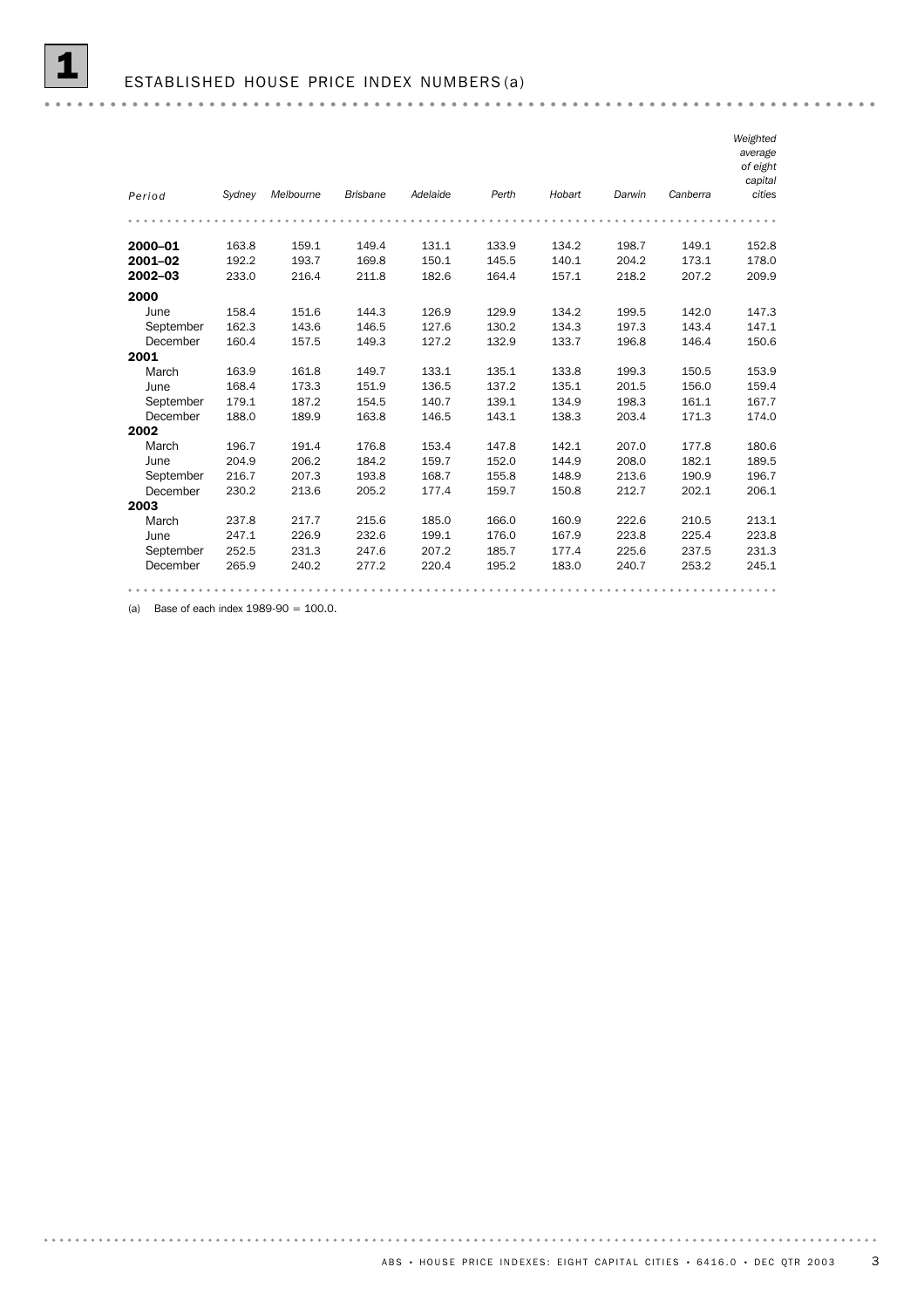|           |        |           |                 |          |       |        |        |          | Weighted<br>average<br>of eight<br>capital |
|-----------|--------|-----------|-----------------|----------|-------|--------|--------|----------|--------------------------------------------|
| Period    | Sydney | Melbourne | <b>Brisbane</b> | Adelaide | Perth | Hobart | Darwin | Canberra | cities                                     |
|           |        |           |                 |          |       |        |        |          |                                            |
| 2000-01   | 163.8  | 159.1     | 149.4           | 131.1    | 133.9 | 134.2  | 198.7  | 149.1    | 152.8                                      |
| 2001-02   | 192.2  | 193.7     | 169.8           | 150.1    | 145.5 | 140.1  | 204.2  | 173.1    | 178.0                                      |
| 2002-03   | 233.0  | 216.4     | 211.8           | 182.6    | 164.4 | 157.1  | 218.2  | 207.2    | 209.9                                      |
| 2000      |        |           |                 |          |       |        |        |          |                                            |
| June      | 158.4  | 151.6     | 144.3           | 126.9    | 129.9 | 134.2  | 199.5  | 142.0    | 147.3                                      |
| September | 162.3  | 143.6     | 146.5           | 127.6    | 130.2 | 134.3  | 197.3  | 143.4    | 147.1                                      |
| December  | 160.4  | 157.5     | 149.3           | 127.2    | 132.9 | 133.7  | 196.8  | 146.4    | 150.6                                      |
| 2001      |        |           |                 |          |       |        |        |          |                                            |
| March     | 163.9  | 161.8     | 149.7           | 133.1    | 135.1 | 133.8  | 199.3  | 150.5    | 153.9                                      |
| June      | 168.4  | 173.3     | 151.9           | 136.5    | 137.2 | 135.1  | 201.5  | 156.0    | 159.4                                      |
| September | 179.1  | 187.2     | 154.5           | 140.7    | 139.1 | 134.9  | 198.3  | 161.1    | 167.7                                      |
| December  | 188.0  | 189.9     | 163.8           | 146.5    | 143.1 | 138.3  | 203.4  | 171.3    | 174.0                                      |
| 2002      |        |           |                 |          |       |        |        |          |                                            |
| March     | 196.7  | 191.4     | 176.8           | 153.4    | 147.8 | 142.1  | 207.0  | 177.8    | 180.6                                      |
| June      | 204.9  | 206.2     | 184.2           | 159.7    | 152.0 | 144.9  | 208.0  | 182.1    | 189.5                                      |
| September | 216.7  | 207.3     | 193.8           | 168.7    | 155.8 | 148.9  | 213.6  | 190.9    | 196.7                                      |
| December  | 230.2  | 213.6     | 205.2           | 177.4    | 159.7 | 150.8  | 212.7  | 202.1    | 206.1                                      |
| 2003      |        |           |                 |          |       |        |        |          |                                            |
| March     | 237.8  | 217.7     | 215.6           | 185.0    | 166.0 | 160.9  | 222.6  | 210.5    | 213.1                                      |
| June      | 247.1  | 226.9     | 232.6           | 199.1    | 176.0 | 167.9  | 223.8  | 225.4    | 223.8                                      |
| September | 252.5  | 231.3     | 247.6           | 207.2    | 185.7 | 177.4  | 225.6  | 237.5    | 231.3                                      |
| December  | 265.9  | 240.2     | 277.2           | 220.4    | 195.2 | 183.0  | 240.7  | 253.2    | 245.1                                      |
|           |        |           |                 |          |       |        |        |          | 0.0.0                                      |

(a) Base of each index  $1989-90 = 100.0$ .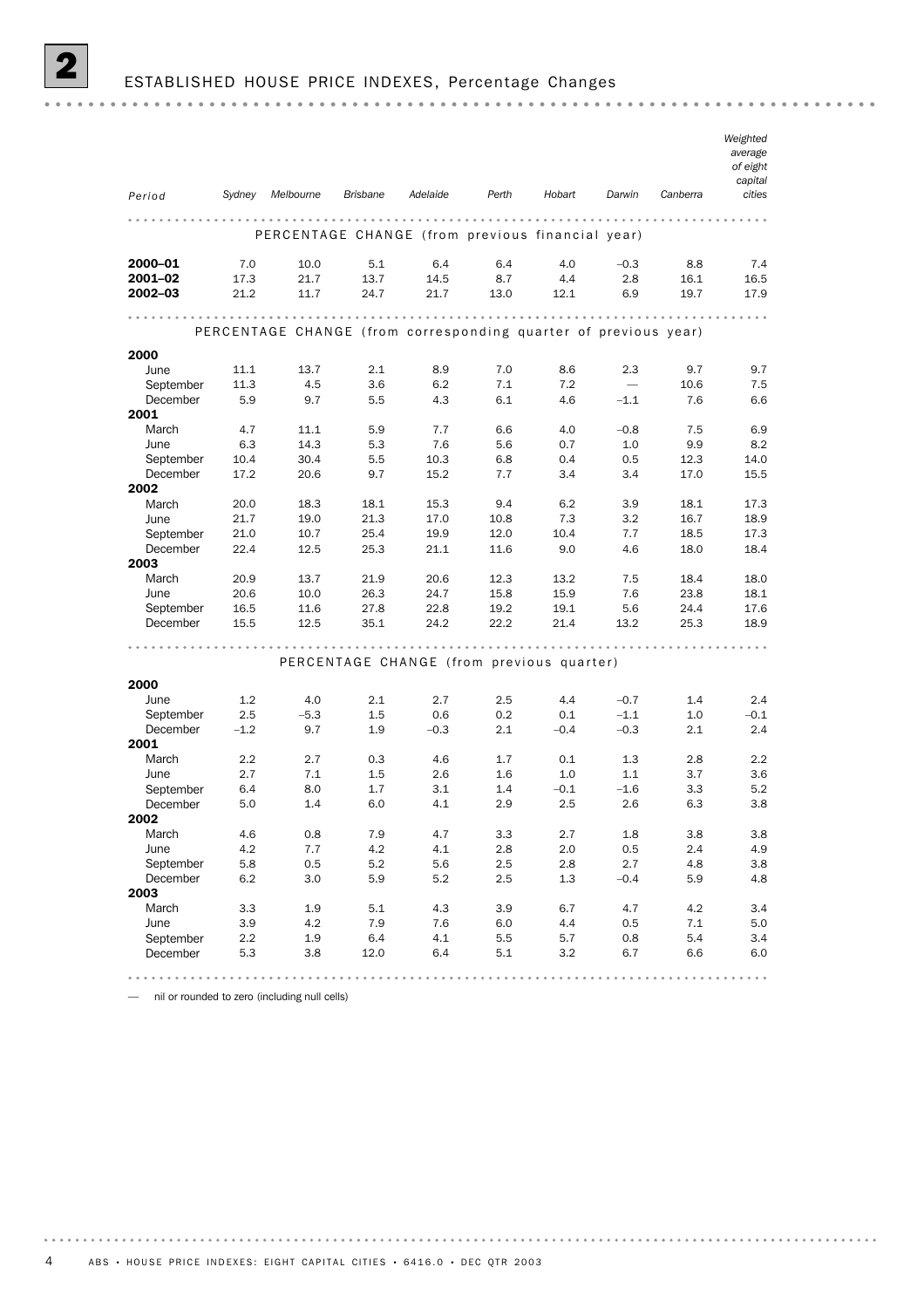|                       |            |                                                                 |                 |                                           |              |               |               |            | Weighted<br>average<br>of eight<br>capital |
|-----------------------|------------|-----------------------------------------------------------------|-----------------|-------------------------------------------|--------------|---------------|---------------|------------|--------------------------------------------|
| Period                | Sydney     | Melbourne                                                       | <b>Brisbane</b> | Adelaide                                  | Perth        | Hobart        | Darwin        | Canberra   | cities                                     |
|                       |            | PERCENTAGE CHANGE (from previous financial year)                |                 |                                           |              |               |               |            |                                            |
| 2000-01               | 7.0        | 10.0                                                            | 5.1             | 6.4                                       | 6.4          | 4.0           | $-0.3$        | 8.8        | 7.4                                        |
| 2001-02               | 17.3       | 21.7                                                            | 13.7            | 14.5                                      | 8.7          | 4.4           | 2.8           | 16.1       | 16.5                                       |
| 2002-03               | 21.2       | 11.7                                                            | 24.7            | 21.7                                      | 13.0         | 12.1          | 6.9           | 19.7       | 17.9                                       |
|                       |            |                                                                 |                 | .                                         |              |               |               |            |                                            |
|                       |            | PERCENTAGE CHANGE (from corresponding quarter of previous year) |                 |                                           |              |               |               |            |                                            |
| 2000                  |            |                                                                 |                 |                                           |              |               |               |            |                                            |
| June                  | 11.1       | 13.7                                                            | 2.1             | 8.9                                       | 7.0          | 8.6           | 2.3           | 9.7        | 9.7                                        |
| September             | 11.3       | 4.5                                                             | 3.6             | 6.2                                       | 7.1          | 7.2           |               | 10.6       | 7.5                                        |
| December              | 5.9        | 9.7                                                             | 5.5             | 4.3                                       | 6.1          | 4.6           | $-1.1$        | 7.6        | 6.6                                        |
| 2001                  |            |                                                                 |                 |                                           |              |               |               |            |                                            |
| March                 | 4.7        | 11.1                                                            | 5.9             | 7.7                                       | 6.6          | 4.0           | $-0.8$        | 7.5        | 6.9                                        |
| June                  | 6.3        | 14.3                                                            | 5.3             | 7.6                                       | 5.6          | 0.7           | 1.0           | 9.9        | 8.2                                        |
| September             | 10.4       | 30.4                                                            | 5.5             | 10.3                                      | 6.8          | 0.4           | 0.5           | 12.3       | 14.0                                       |
| December              | 17.2       | 20.6                                                            | 9.7             | 15.2                                      | 7.7          | 3.4           | 3.4           | 17.0       | 15.5                                       |
| 2002                  |            |                                                                 |                 |                                           |              |               |               |            |                                            |
| March                 | 20.0       | 18.3                                                            | 18.1            | 15.3                                      | 9.4          | 6.2           | 3.9           | 18.1       | 17.3                                       |
| June                  | 21.7       | 19.0                                                            | 21.3            | 17.0                                      | 10.8         | 7.3           | 3.2           | 16.7       | 18.9                                       |
| September             | 21.0       | 10.7                                                            | 25.4            | 19.9                                      | 12.0<br>11.6 | 10.4<br>9.0   | 7.7<br>4.6    | 18.5       | 17.3                                       |
| December<br>2003      | 22.4       | 12.5                                                            | 25.3            | 21.1                                      |              |               |               | 18.0       | 18.4                                       |
| March                 | 20.9       | 13.7                                                            | 21.9            | 20.6                                      | 12.3         | 13.2          | 7.5           | 18.4       | 18.0                                       |
| June                  | 20.6       | 10.0                                                            | 26.3            | 24.7                                      | 15.8         | 15.9          | 7.6           | 23.8       | 18.1                                       |
| September             | 16.5       | 11.6                                                            | 27.8            | 22.8                                      | 19.2         | 19.1          | 5.6           | 24.4       | 17.6                                       |
| December              | 15.5       | 12.5                                                            | 35.1            | 24.2                                      | 22.2         | 21.4          | 13.2          | 25.3       | 18.9                                       |
|                       |            |                                                                 |                 |                                           |              |               |               |            |                                            |
|                       |            |                                                                 |                 | PERCENTAGE CHANGE (from previous quarter) |              |               |               |            |                                            |
|                       |            |                                                                 |                 |                                           |              |               |               |            |                                            |
| 2000                  |            |                                                                 |                 |                                           |              |               |               |            |                                            |
| June                  | 1.2        | 4.0                                                             | 2.1             | 2.7                                       | 2.5          | 4.4           | $-0.7$        | 1.4        | 2.4                                        |
| September             | 2.5        | $-5.3$                                                          | 1.5             | 0.6                                       | 0.2          | 0.1           | $-1.1$        | 1.0        | $-0.1$                                     |
| December              | $-1.2$     | 9.7                                                             | 1.9             | $-0.3$                                    | 2.1          | $-0.4$        | $-0.3$        | 2.1        | 2.4                                        |
| 2001                  |            |                                                                 |                 |                                           |              |               |               |            |                                            |
| March                 | 2.2        | 2.7                                                             | 0.3             | 4.6                                       | 1.7          | 0.1           | 1.3           | 2.8        | 2.2                                        |
| June                  | 2.7        | 7.1                                                             | 1.5<br>1.7      | 2.6<br>3.1                                | 1.6          | 1.0<br>$-0.1$ | 1.1           | 3.7<br>3.3 | 3.6<br>5.2                                 |
| September<br>December | 6.4<br>5.0 | 8.0<br>1.4                                                      | 6.0             | 4.1                                       | 1.4<br>2.9   | 2.5           | $-1.6$<br>2.6 | 6.3        | 3.8                                        |
| 2002                  |            |                                                                 |                 |                                           |              |               |               |            |                                            |
| March                 | 4.6        | $0.8\,$                                                         | 7.9             | 4.7                                       | 3.3          | 2.7           | 1.8           | $3.8\,$    | $3.8\,$                                    |
| June                  | 4.2        | 7.7                                                             | 4.2             | 4.1                                       | 2.8          | 2.0           | 0.5           | 2.4        | 4.9                                        |
| September             | 5.8        | 0.5                                                             | 5.2             | 5.6                                       | 2.5          | 2.8           | 2.7           | 4.8        | 3.8                                        |
| December              | 6.2        | $3.0\,$                                                         | 5.9             | 5.2                                       | 2.5          | 1.3           | $-0.4$        | 5.9        | 4.8                                        |
| 2003                  |            |                                                                 |                 |                                           |              |               |               |            |                                            |
| March                 | 3.3        | 1.9                                                             | 5.1             | 4.3                                       | $3.9\,$      | 6.7           | 4.7           | 4.2        | 3.4                                        |
| June                  | 3.9        | 4.2                                                             | 7.9             | 7.6                                       | 6.0          | 4.4           | 0.5           | 7.1        | 5.0                                        |
| September             | 2.2        | 1.9                                                             | 6.4             | 4.1                                       | 5.5          | 5.7           | 0.8           | 5.4        | 3.4                                        |
| December              | 5.3        | 3.8                                                             | 12.0            | 6.4                                       | 5.1          | 3.2           | 6.7           | 6.6        | 6.0                                        |
|                       |            |                                                                 |                 |                                           |              |               |               |            |                                            |

— nil or rounded to zero (including null cells)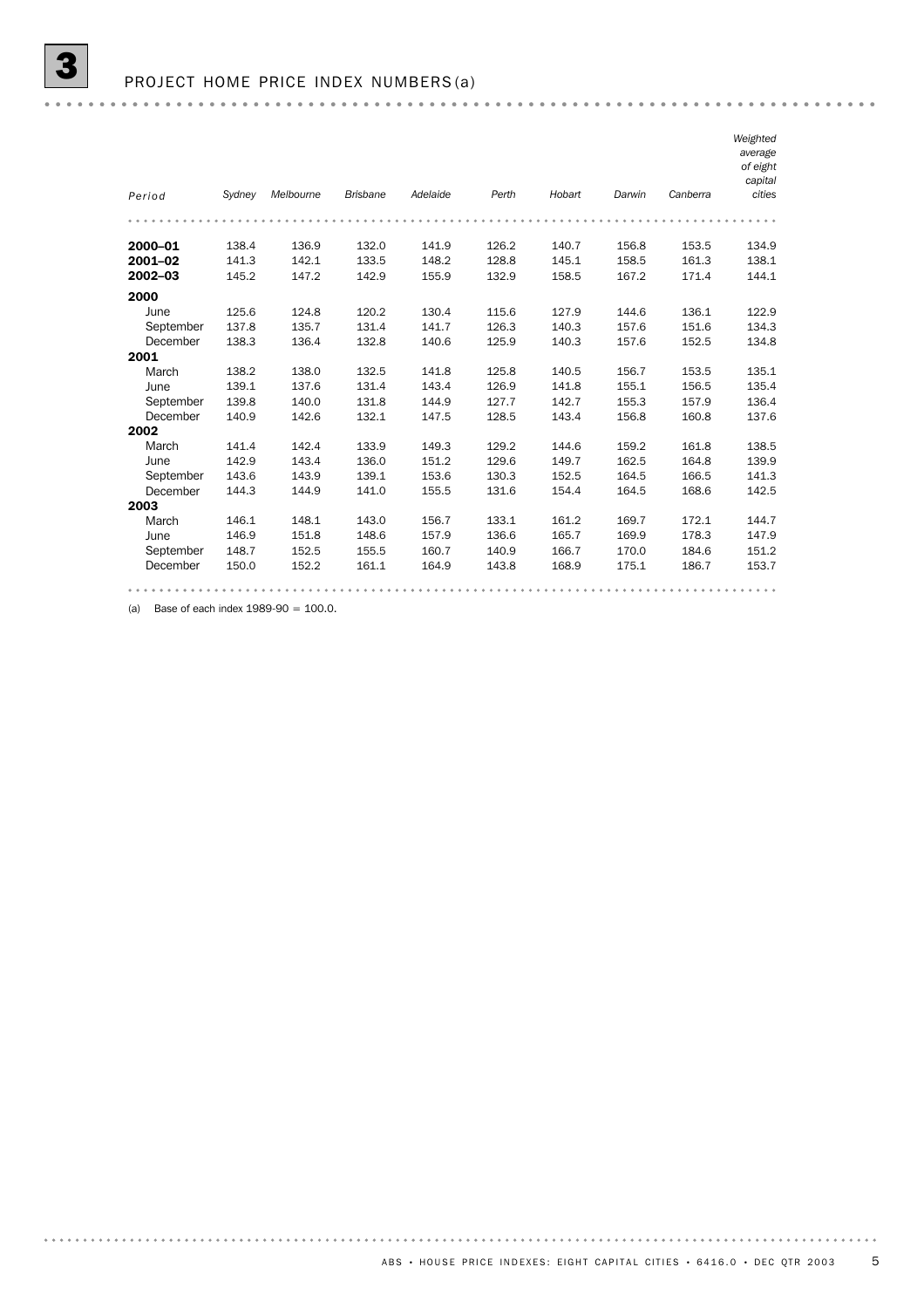|           |        |           |                 |          |       |        |        |          | Weighted<br>average<br>of eight<br>capital |
|-----------|--------|-----------|-----------------|----------|-------|--------|--------|----------|--------------------------------------------|
| Period    | Sydney | Melbourne | <b>Brisbane</b> | Adelaide | Perth | Hobart | Darwin | Canberra | cities                                     |
|           |        |           |                 |          |       |        |        |          |                                            |
| 2000-01   | 138.4  | 136.9     | 132.0           | 141.9    | 126.2 | 140.7  | 156.8  | 153.5    | 134.9                                      |
| 2001-02   | 141.3  | 142.1     | 133.5           | 148.2    | 128.8 | 145.1  | 158.5  | 161.3    | 138.1                                      |
| 2002-03   | 145.2  | 147.2     | 142.9           | 155.9    | 132.9 | 158.5  | 167.2  | 171.4    | 144.1                                      |
| 2000      |        |           |                 |          |       |        |        |          |                                            |
| June      | 125.6  | 124.8     | 120.2           | 130.4    | 115.6 | 127.9  | 144.6  | 136.1    | 122.9                                      |
| September | 137.8  | 135.7     | 131.4           | 141.7    | 126.3 | 140.3  | 157.6  | 151.6    | 134.3                                      |
| December  | 138.3  | 136.4     | 132.8           | 140.6    | 125.9 | 140.3  | 157.6  | 152.5    | 134.8                                      |
| 2001      |        |           |                 |          |       |        |        |          |                                            |
| March     | 138.2  | 138.0     | 132.5           | 141.8    | 125.8 | 140.5  | 156.7  | 153.5    | 135.1                                      |
| June      | 139.1  | 137.6     | 131.4           | 143.4    | 126.9 | 141.8  | 155.1  | 156.5    | 135.4                                      |
| September | 139.8  | 140.0     | 131.8           | 144.9    | 127.7 | 142.7  | 155.3  | 157.9    | 136.4                                      |
| December  | 140.9  | 142.6     | 132.1           | 147.5    | 128.5 | 143.4  | 156.8  | 160.8    | 137.6                                      |
| 2002      |        |           |                 |          |       |        |        |          |                                            |
| March     | 141.4  | 142.4     | 133.9           | 149.3    | 129.2 | 144.6  | 159.2  | 161.8    | 138.5                                      |
| June      | 142.9  | 143.4     | 136.0           | 151.2    | 129.6 | 149.7  | 162.5  | 164.8    | 139.9                                      |
| September | 143.6  | 143.9     | 139.1           | 153.6    | 130.3 | 152.5  | 164.5  | 166.5    | 141.3                                      |
| December  | 144.3  | 144.9     | 141.0           | 155.5    | 131.6 | 154.4  | 164.5  | 168.6    | 142.5                                      |
| 2003      |        |           |                 |          |       |        |        |          |                                            |
| March     | 146.1  | 148.1     | 143.0           | 156.7    | 133.1 | 161.2  | 169.7  | 172.1    | 144.7                                      |
| June      | 146.9  | 151.8     | 148.6           | 157.9    | 136.6 | 165.7  | 169.9  | 178.3    | 147.9                                      |
| September | 148.7  | 152.5     | 155.5           | 160.7    | 140.9 | 166.7  | 170.0  | 184.6    | 151.2                                      |
| December  | 150.0  | 152.2     | 161.1           | 164.9    | 143.8 | 168.9  | 175.1  | 186.7    | 153.7                                      |
|           |        |           |                 |          |       |        |        |          |                                            |

(a) Base of each index  $1989-90 = 100.0$ .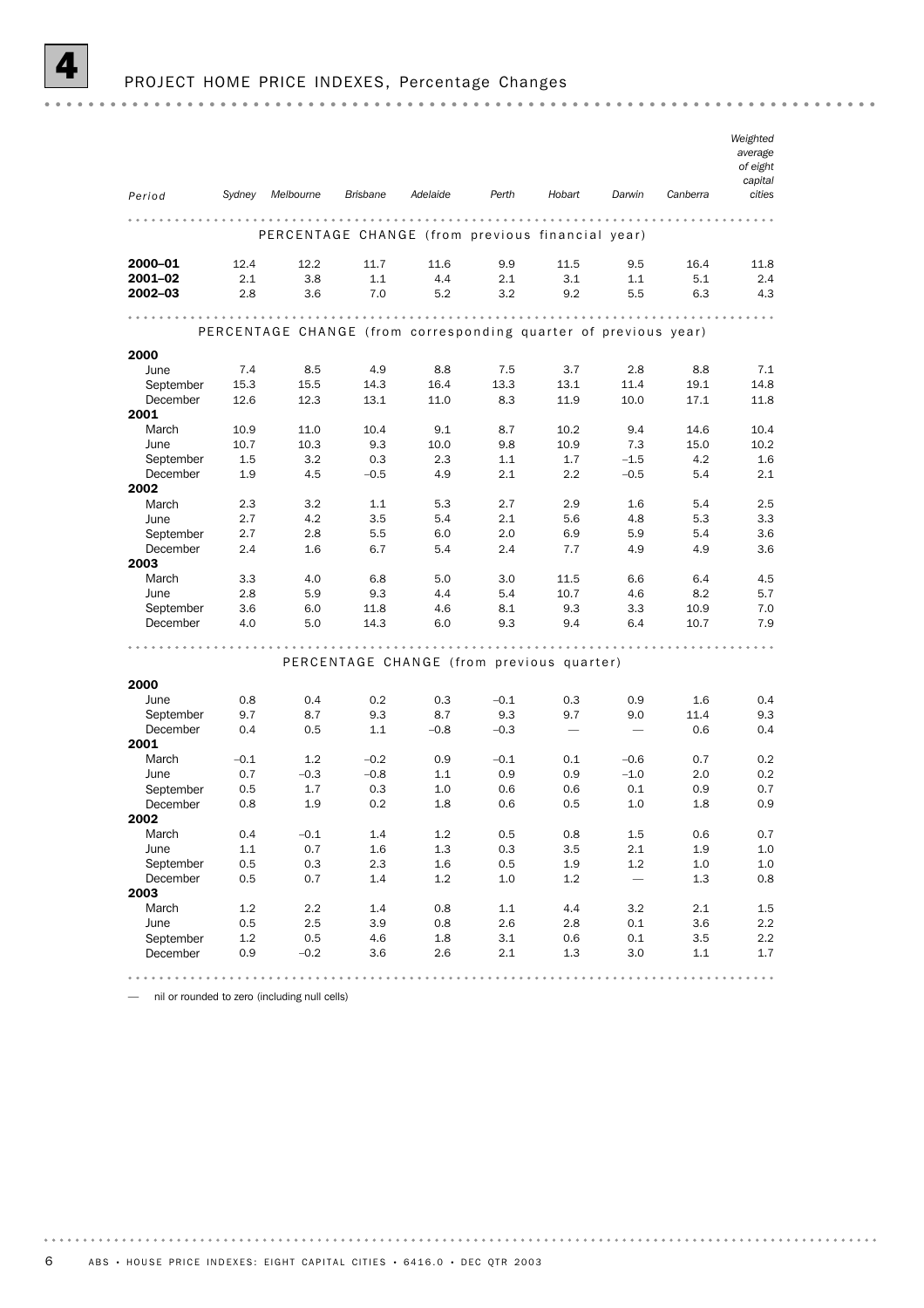

## PROJECT HOME PRICE INDEXES, Percentage Changes

| Period                | Sydney     | Melbourne                                                       | <b>Brisbane</b> | Adelaide   | Perth      | Hobart                                    | Darwin     | Canberra   | Weighted<br>average<br>of eight<br>capital<br>cities |
|-----------------------|------------|-----------------------------------------------------------------|-----------------|------------|------------|-------------------------------------------|------------|------------|------------------------------------------------------|
|                       |            | PERCENTAGE CHANGE (from previous financial year)                |                 |            |            |                                           |            |            |                                                      |
| 2000-01               | 12.4       | 12.2                                                            | 11.7            | 11.6       | 9.9        | 11.5                                      | 9.5        | 16.4       | 11.8                                                 |
| 2001-02               | 2.1        | 3.8                                                             | 1.1             | 4.4        | 2.1        | 3.1                                       | 1.1        | 5.1        | 2.4                                                  |
| $2002 - 03$           | 2.8        | 3.6                                                             | 7.0             | 5.2        | 3.2        | 9.2                                       | 5.5        | 6.3        | 4.3                                                  |
|                       |            |                                                                 |                 |            |            |                                           |            |            |                                                      |
|                       |            | PERCENTAGE CHANGE (from corresponding quarter of previous year) |                 |            |            |                                           |            |            |                                                      |
| 2000                  |            |                                                                 |                 |            |            |                                           |            |            |                                                      |
| June                  | 7.4        | 8.5                                                             | 4.9             | 8.8        | 7.5        | 3.7                                       | 2.8        | 8.8        | 7.1                                                  |
| September             | 15.3       | 15.5                                                            | 14.3            | 16.4       | 13.3       | 13.1                                      | 11.4       | 19.1       | 14.8                                                 |
| December<br>2001      | 12.6       | 12.3                                                            | 13.1            | 11.0       | 8.3        | 11.9                                      | 10.0       | 17.1       | 11.8                                                 |
| March                 | 10.9       | 11.0                                                            | 10.4            | 9.1        | 8.7        | 10.2                                      | 9.4        | 14.6       | 10.4                                                 |
| June                  | 10.7       | 10.3                                                            | 9.3             | 10.0       | 9.8        | 10.9                                      | 7.3        | 15.0       | 10.2                                                 |
| September             | 1.5        | 3.2                                                             | 0.3             | 2.3        | 1.1        | 1.7                                       | $-1.5$     | 4.2        | 1.6                                                  |
| December              | 1.9        | 4.5                                                             | $-0.5$          | 4.9        | 2.1        | 2.2                                       | $-0.5$     | 5.4        | 2.1                                                  |
| 2002                  |            |                                                                 |                 |            |            |                                           |            |            |                                                      |
| March                 | 2.3        | 3.2                                                             | 1.1             | 5.3        | 2.7        | 2.9                                       | 1.6        | 5.4        | 2.5                                                  |
| June                  | 2.7        | 4.2                                                             | 3.5             | 5.4        | 2.1        | 5.6                                       | 4.8        | 5.3        | 3.3                                                  |
| September             | 2.7        | 2.8                                                             | 5.5             | 6.0        | 2.0        | 6.9                                       | 5.9        | 5.4        | 3.6                                                  |
| December              | 2.4        | 1.6                                                             | 6.7             | 5.4        | 2.4        | 7.7                                       | 4.9        | 4.9        | 3.6                                                  |
| 2003                  |            |                                                                 |                 |            |            |                                           |            |            |                                                      |
| March                 | 3.3        | 4.0                                                             | 6.8             | 5.0        | 3.0        | 11.5                                      | 6.6        | 6.4        | 4.5                                                  |
| June                  | 2.8        | 5.9                                                             | 9.3             | 4.4        | 5.4        | 10.7                                      | 4.6        | 8.2        | 5.7                                                  |
| September             | 3.6        | 6.0                                                             | 11.8            | 4.6        | 8.1        | 9.3                                       | 3.3        | 10.9       | 7.0                                                  |
| December              | 4.0        | 5.0                                                             | 14.3            | 6.0        | 9.3        | 9.4                                       | 6.4        | 10.7       | 7.9                                                  |
|                       |            |                                                                 |                 |            |            | .                                         |            |            |                                                      |
|                       |            |                                                                 |                 |            |            | PERCENTAGE CHANGE (from previous quarter) |            |            |                                                      |
| 2000                  |            |                                                                 |                 |            |            |                                           |            |            |                                                      |
| June                  | 0.8        | 0.4                                                             | 0.2             | 0.3        | $-0.1$     | 0.3                                       | 0.9        | 1.6        | 0.4                                                  |
| September             | 9.7        | 8.7                                                             | 9.3             | 8.7        | 9.3        | 9.7                                       | 9.0        | 11.4       | 9.3                                                  |
| December              | 0.4        | 0.5                                                             | 1.1             | $-0.8$     | $-0.3$     | $\overline{\phantom{m}}$                  |            | 0.6        | 0.4                                                  |
| 2001                  |            |                                                                 |                 |            |            |                                           |            |            |                                                      |
| March                 | $-0.1$     | 1.2                                                             | $-0.2$          | 0.9        | $-0.1$     | 0.1                                       | $-0.6$     | 0.7        | 0.2                                                  |
| June                  | 0.7        | $-0.3$                                                          | $-0.8$          | 1.1        | 0.9        | 0.9                                       | $-1.0$     | 2.0        | 0.2                                                  |
| September             | 0.5        | 1.7                                                             | 0.3             | 1.0        | 0.6        | 0.6                                       | 0.1        | 0.9        | 0.7                                                  |
| December              | 0.8        | 1.9                                                             | 0.2             | 1.8        | 0.6        | 0.5                                       | 1.0        | 1.8        | 0.9                                                  |
| 2002                  |            |                                                                 |                 |            |            |                                           |            |            |                                                      |
| March                 | 0.4        | $-0.1$                                                          | 1.4             | $1.2\,$    | 0.5        | 0.8                                       | 1.5        | 0.6        | 0.7                                                  |
| June                  | $1.1$      | 0.7                                                             | 1.6             | 1.3        | 0.3        | 3.5                                       | 2.1        | 1.9        | 1.0                                                  |
| September             | 0.5        | $0.3\,$                                                         | 2.3             | 1.6        | 0.5        | 1.9                                       | 1.2        | $1.0\,$    | $1.0\,$                                              |
| December              | 0.5        | 0.7                                                             | 1.4             | 1.2        | 1.0        | 1.2                                       |            | 1.3        | 0.8                                                  |
| 2003                  |            |                                                                 |                 |            |            |                                           |            |            |                                                      |
| March                 | 1.2        | 2.2                                                             | 1.4             | 0.8        | 1.1        | 4.4                                       | 3.2        | 2.1        | 1.5                                                  |
| June                  | 0.5        | 2.5                                                             | 3.9             | 0.8        | 2.6        | 2.8                                       | 0.1        | 3.6        | 2.2                                                  |
|                       |            |                                                                 |                 |            |            |                                           |            |            |                                                      |
| September<br>December | 1.2<br>0.9 | 0.5<br>$-0.2$                                                   | 4.6<br>3.6      | 1.8<br>2.6 | 3.1<br>2.1 | 0.6<br>1.3                                | 0.1<br>3.0 | 3.5<br>1.1 | 2.2<br>1.7                                           |

— nil or rounded to zero (including null cells)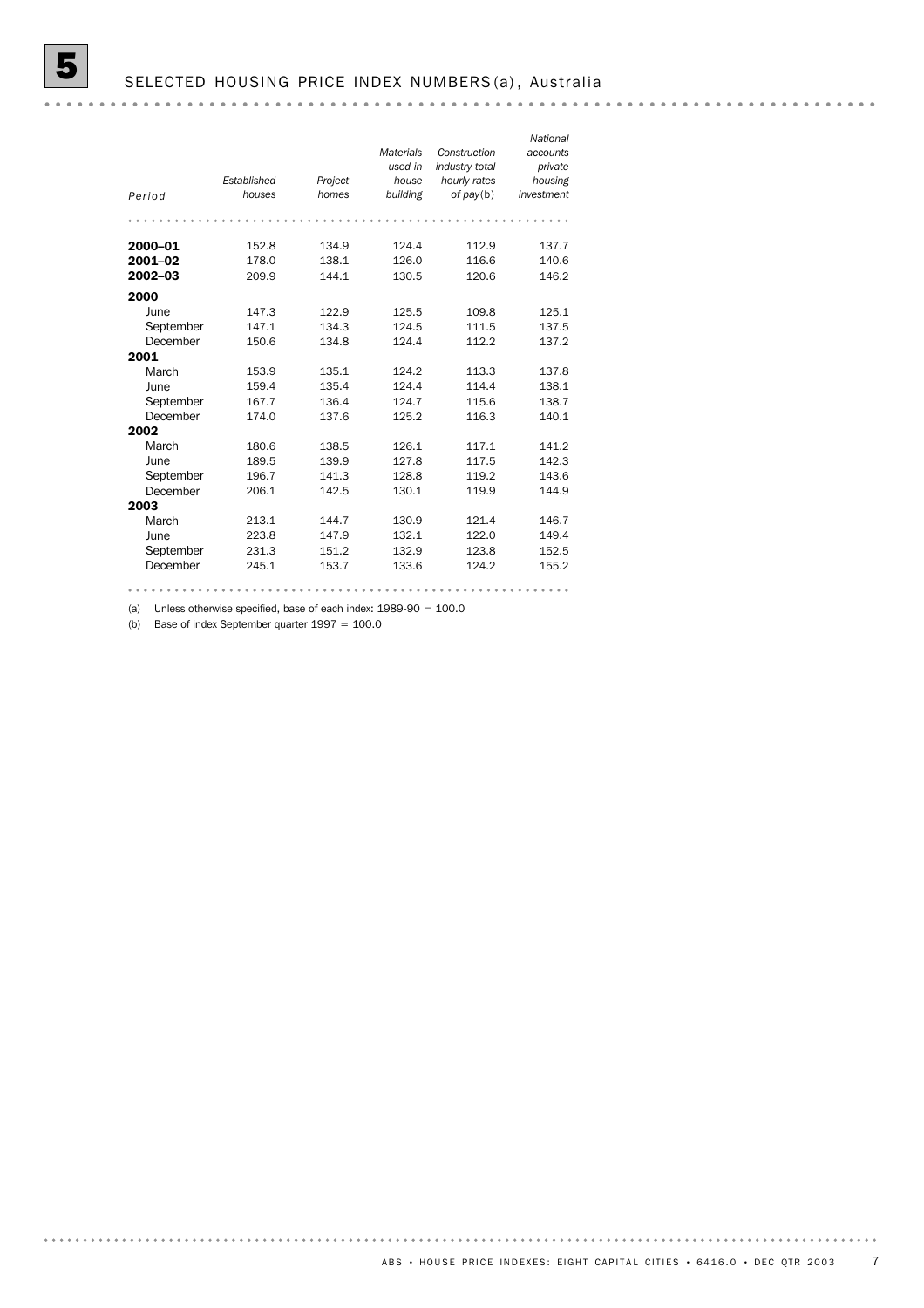|           |             |         |                  |                | National   |
|-----------|-------------|---------|------------------|----------------|------------|
|           |             |         | <b>Materials</b> | Construction   | accounts   |
|           |             |         | used in          | industry total | private    |
|           | Established | Project | house            | hourly rates   | housing    |
| Period    | houses      | homes   | building         | of pay(b)      | investment |
|           |             |         |                  |                |            |
|           |             |         |                  |                |            |
| 2000-01   | 152.8       | 134.9   | 124.4            | 112.9          | 137.7      |
| 2001-02   | 178.0       | 138.1   | 126.0            | 116.6          | 140.6      |
| 2002-03   | 209.9       | 144.1   | 130.5            | 120.6          | 146.2      |
| 2000      |             |         |                  |                |            |
| June      | 147.3       | 122.9   | 125.5            | 109.8          | 125.1      |
| September | 147.1       | 134.3   | 124.5            | 111.5          | 137.5      |
| December  | 150.6       | 134.8   | 124.4            | 112.2          | 137.2      |
| 2001      |             |         |                  |                |            |
| March     | 153.9       | 135.1   | 124.2            | 113.3          | 137.8      |
| June      | 159.4       | 135.4   | 124.4            | 114.4          | 138.1      |
| September | 167.7       | 136.4   | 124.7            | 115.6          | 138.7      |
| December  | 174.0       | 137.6   | 125.2            | 116.3          | 140.1      |
| 2002      |             |         |                  |                |            |
| March     | 180.6       | 138.5   | 126.1            | 117.1          | 141.2      |
| June      | 189.5       | 139.9   | 127.8            | 117.5          | 142.3      |
| September | 196.7       | 141.3   | 128.8            | 119.2          | 143.6      |
| December  | 206.1       | 142.5   | 130.1            | 119.9          | 144.9      |
| 2003      |             |         |                  |                |            |
| March     | 213.1       | 144.7   | 130.9            | 121.4          | 146.7      |
| June      | 223.8       | 147.9   | 132.1            | 122.0          | 149.4      |
| September | 231.3       | 151.2   | 132.9            | 123.8          | 152.5      |
| December  | 245.1       | 153.7   | 133.6            | 124.2          | 155.2      |
|           |             |         |                  |                |            |
|           |             |         |                  |                |            |

(a) Unless otherwise specified, base of each index: 1989-90 = 100.0

(b) Base of index September quarter  $1997 = 100.0$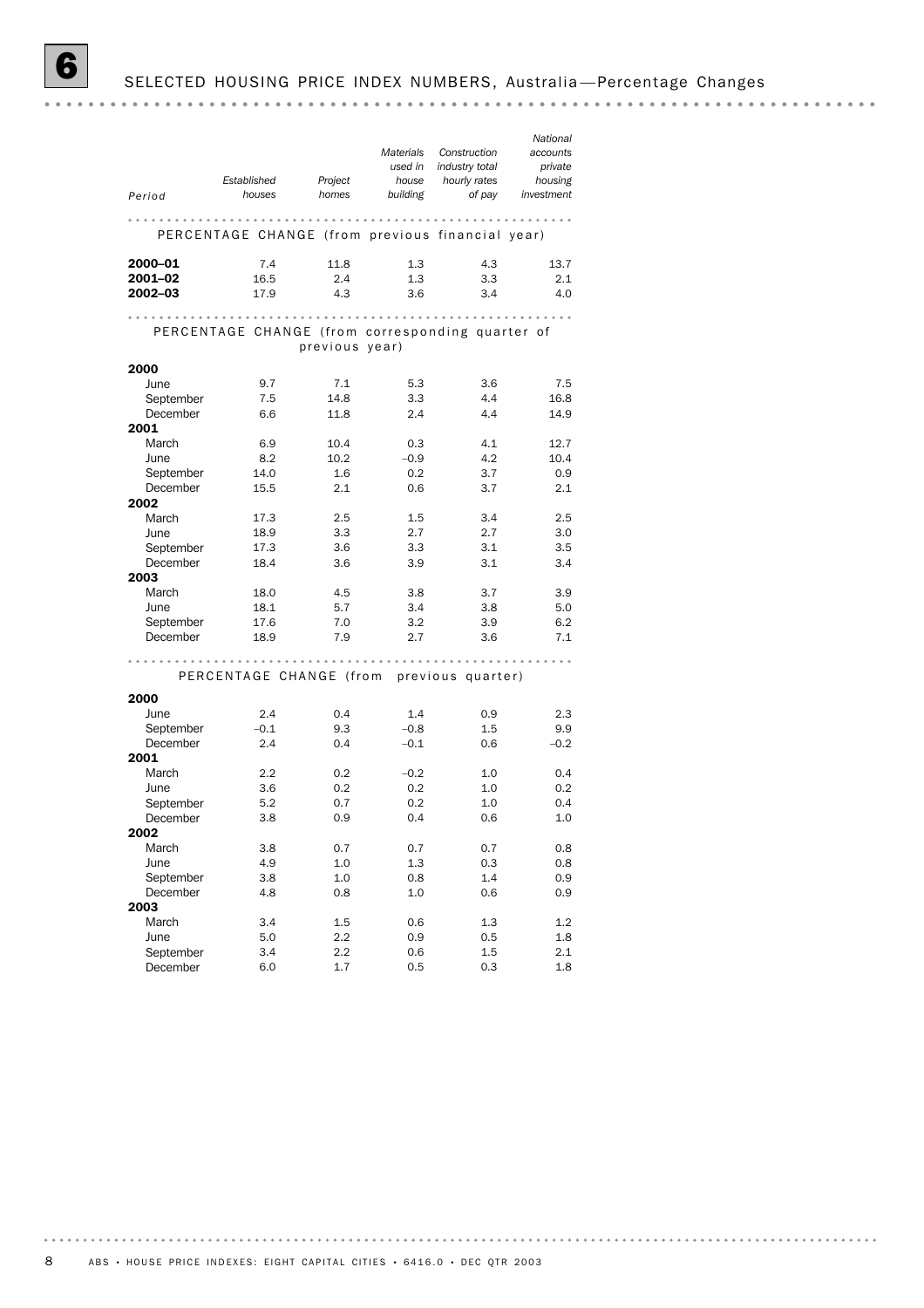*National Construction Materials accounts industry total used in private Established Project house hourly rates housing Period houses homes building investment of pay* PERCENTAGE CHANGE (from previous financial year) **2000–01** 7.4 11.8 1.3 4.3 13.7 **2001–02** 16.5 2.4 1.3 3.3 2.1 **2002–03** 17.9 4.3 3.6 3.4 4.0 PERCENTAGE CHANGE (from corresponding quarter of previous year) 2000 June 9.7 7.1 5.3 3.6 7.5 September 7.5 14.8 3.3 4.4 16.8 December 6.6 11.8 2.4 4.4 14.9 2001 March 6.9 10.4 0.3 4.1 12.7<br>
June 8.2 10.2 -0.9 4.2 10.4 June 8.2 10.2 – 0.9 4.2 10.4 September 14.0 1.6 0.2 3.7 0.9 December 15.5 2.1 0.6 3.7 2.1 2002 March 17.3 2.5 1.5 3.4 2.5 dune 18.9 3.3 2.7 2.7 3.0<br>September 17.3 3.6 3.3 3.1 3.5 dune 18.9 3.3<br>September 17.3 3.6 December 18.4 3.6 3.9 3.1 3.4 2003 March 18.0 4.5 3.8 3.7 3.9 June 18.1 5.7 3.4 3.8 5.0 September 17.6 7.0 3.2 3.9 6.2 December 18.9 7.9 2.7 3.6 7.1 PERCENTAGE CHANGE (from previous quarter) 2000 June 2.4 0.4 1.4 0.9 2.3 September –0.1 9.3 –0.8 1.5 9.9 December 2.4 0.4 –0.1 0.6 –0.2 2001 March 2.2 0.2 – 0.2 1.0 0.4 June 3.6 0.2 0.2 1.0 0.2 September 5.2 0.7 0.2 1.0 0.4 December 3.8 0.9 0.4 0.6 1.0 2002 March 3.8 0.7 0.7 0.7 0.8 June 4.9 1.0 1.3 0.3 0.8 September 3.8 1.0 0.8 1.4 0.9<br>December 4.8 0.8 1.0 0.6 0.9 September 3.8 1.0 0.8 1.4 0.9 2003 March 3.4 1.5 0.6 1.3 1.2 June 5.0 2.2 0.9 0.5 1.8 September 3.4 2.2 0.6 1.5 2.1 December 6.0 1.7 0.5 0.3 1.8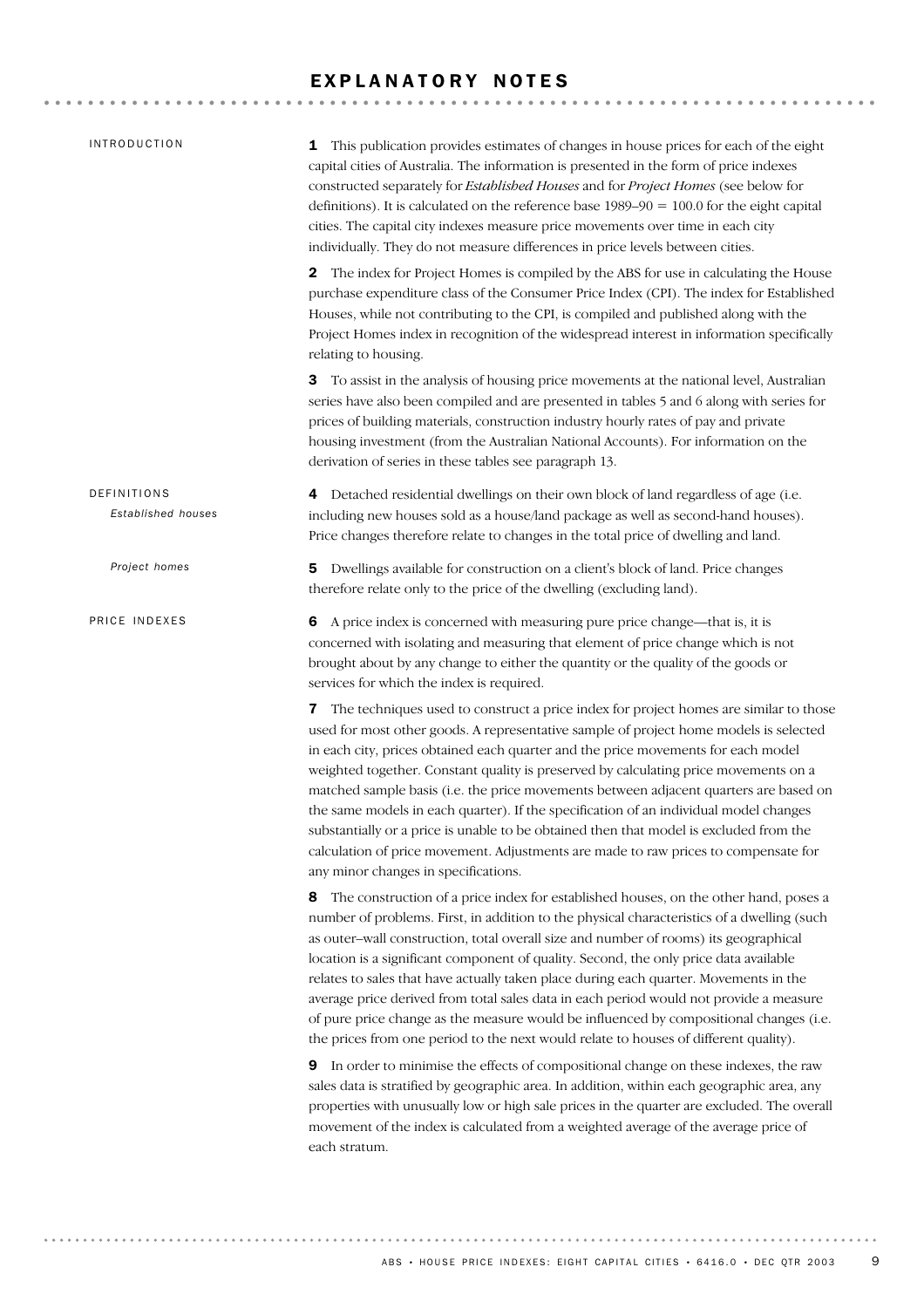#### EXPLANATORY NOTES

| INTRODUCTION                      | This publication provides estimates of changes in house prices for each of the eight<br>1<br>capital cities of Australia. The information is presented in the form of price indexes<br>constructed separately for Established Houses and for Project Homes (see below for<br>definitions). It is calculated on the reference base $1989-90 = 100.0$ for the eight capital<br>cities. The capital city indexes measure price movements over time in each city<br>individually. They do not measure differences in price levels between cities.                                                                                                                                                                                                                               |
|-----------------------------------|-----------------------------------------------------------------------------------------------------------------------------------------------------------------------------------------------------------------------------------------------------------------------------------------------------------------------------------------------------------------------------------------------------------------------------------------------------------------------------------------------------------------------------------------------------------------------------------------------------------------------------------------------------------------------------------------------------------------------------------------------------------------------------|
|                                   | The index for Project Homes is compiled by the ABS for use in calculating the House<br>2<br>purchase expenditure class of the Consumer Price Index (CPI). The index for Established<br>Houses, while not contributing to the CPI, is compiled and published along with the<br>Project Homes index in recognition of the widespread interest in information specifically<br>relating to housing.                                                                                                                                                                                                                                                                                                                                                                             |
|                                   | <b>3</b> To assist in the analysis of housing price movements at the national level, Australian<br>series have also been compiled and are presented in tables 5 and 6 along with series for<br>prices of building materials, construction industry hourly rates of pay and private<br>housing investment (from the Australian National Accounts). For information on the<br>derivation of series in these tables see paragraph 13.                                                                                                                                                                                                                                                                                                                                          |
| DEFINITIONS<br>Established houses | Detached residential dwellings on their own block of land regardless of age (i.e.<br>4<br>including new houses sold as a house/land package as well as second-hand houses).<br>Price changes therefore relate to changes in the total price of dwelling and land.                                                                                                                                                                                                                                                                                                                                                                                                                                                                                                           |
| Project homes                     | Dwellings available for construction on a client's block of land. Price changes<br>5<br>therefore relate only to the price of the dwelling (excluding land).                                                                                                                                                                                                                                                                                                                                                                                                                                                                                                                                                                                                                |
| PRICE INDEXES                     | A price index is concerned with measuring pure price change—that is, it is<br>6<br>concerned with isolating and measuring that element of price change which is not<br>brought about by any change to either the quantity or the quality of the goods or<br>services for which the index is required.                                                                                                                                                                                                                                                                                                                                                                                                                                                                       |
|                                   | The techniques used to construct a price index for project homes are similar to those<br>7<br>used for most other goods. A representative sample of project home models is selected<br>in each city, prices obtained each quarter and the price movements for each model<br>weighted together. Constant quality is preserved by calculating price movements on a<br>matched sample basis (i.e. the price movements between adjacent quarters are based on<br>the same models in each quarter). If the specification of an individual model changes<br>substantially or a price is unable to be obtained then that model is excluded from the<br>calculation of price movement. Adjustments are made to raw prices to compensate for<br>any minor changes in specifications. |
|                                   | The construction of a price index for established houses, on the other hand, poses a<br>8<br>number of problems. First, in addition to the physical characteristics of a dwelling (such<br>as outer-wall construction, total overall size and number of rooms) its geographical<br>location is a significant component of quality. Second, the only price data available<br>relates to sales that have actually taken place during each quarter. Movements in the<br>average price derived from total sales data in each period would not provide a measure<br>of pure price change as the measure would be influenced by compositional changes (i.e.<br>the prices from one period to the next would relate to houses of different quality).                               |
|                                   | In order to minimise the effects of compositional change on these indexes, the raw<br>9<br>sales data is stratified by geographic area. In addition, within each geographic area, any<br>properties with unusually low or high sale prices in the quarter are excluded. The overall<br>movement of the index is calculated from a weighted average of the average price of<br>each stratum.                                                                                                                                                                                                                                                                                                                                                                                 |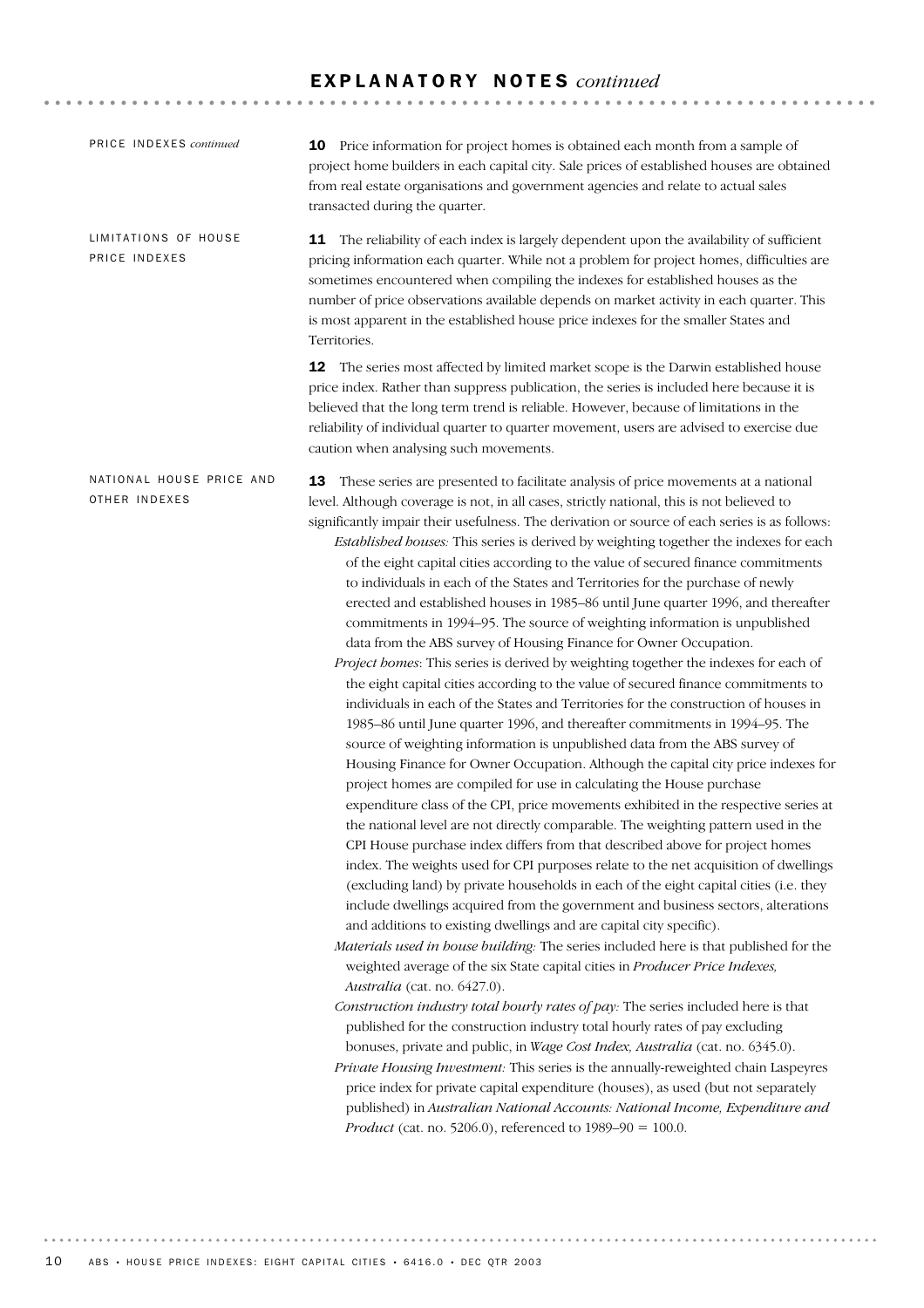#### E X P L A N A T O R Y N O T E S *continued*

| PRICE INDEXES continued                   | <b>10</b> Price information for project homes is obtained each month from a sample of<br>project home builders in each capital city. Sale prices of established houses are obtained<br>from real estate organisations and government agencies and relate to actual sales<br>transacted during the quarter.                                                                                                                                                                                                                                                                                                                                                                                                                                                                                                                                                                                                                                                                                                                                                                                                                                                                                                                                                                                                                                                                                                                                                                                                                                                                                                                                                                                                                                                                                                                                                                                                                                                                                                                                                                                                                                                                                                                                                                                                                                                                                                                                                                                                                                                                                                                                                                                                                                                                                       |
|-------------------------------------------|--------------------------------------------------------------------------------------------------------------------------------------------------------------------------------------------------------------------------------------------------------------------------------------------------------------------------------------------------------------------------------------------------------------------------------------------------------------------------------------------------------------------------------------------------------------------------------------------------------------------------------------------------------------------------------------------------------------------------------------------------------------------------------------------------------------------------------------------------------------------------------------------------------------------------------------------------------------------------------------------------------------------------------------------------------------------------------------------------------------------------------------------------------------------------------------------------------------------------------------------------------------------------------------------------------------------------------------------------------------------------------------------------------------------------------------------------------------------------------------------------------------------------------------------------------------------------------------------------------------------------------------------------------------------------------------------------------------------------------------------------------------------------------------------------------------------------------------------------------------------------------------------------------------------------------------------------------------------------------------------------------------------------------------------------------------------------------------------------------------------------------------------------------------------------------------------------------------------------------------------------------------------------------------------------------------------------------------------------------------------------------------------------------------------------------------------------------------------------------------------------------------------------------------------------------------------------------------------------------------------------------------------------------------------------------------------------------------------------------------------------------------------------------------------------|
| LIMITATIONS OF HOUSE<br>PRICE INDEXES     | 11 The reliability of each index is largely dependent upon the availability of sufficient<br>pricing information each quarter. While not a problem for project homes, difficulties are<br>sometimes encountered when compiling the indexes for established houses as the<br>number of price observations available depends on market activity in each quarter. This<br>is most apparent in the established house price indexes for the smaller States and<br>Territories.                                                                                                                                                                                                                                                                                                                                                                                                                                                                                                                                                                                                                                                                                                                                                                                                                                                                                                                                                                                                                                                                                                                                                                                                                                                                                                                                                                                                                                                                                                                                                                                                                                                                                                                                                                                                                                                                                                                                                                                                                                                                                                                                                                                                                                                                                                                        |
|                                           | 12 The series most affected by limited market scope is the Darwin established house<br>price index. Rather than suppress publication, the series is included here because it is<br>believed that the long term trend is reliable. However, because of limitations in the<br>reliability of individual quarter to quarter movement, users are advised to exercise due<br>caution when analysing such movements.                                                                                                                                                                                                                                                                                                                                                                                                                                                                                                                                                                                                                                                                                                                                                                                                                                                                                                                                                                                                                                                                                                                                                                                                                                                                                                                                                                                                                                                                                                                                                                                                                                                                                                                                                                                                                                                                                                                                                                                                                                                                                                                                                                                                                                                                                                                                                                                   |
| NATIONAL HOUSE PRICE AND<br>OTHER INDEXES | These series are presented to facilitate analysis of price movements at a national<br>13<br>level. Although coverage is not, in all cases, strictly national, this is not believed to<br>significantly impair their usefulness. The derivation or source of each series is as follows:<br>Established houses: This series is derived by weighting together the indexes for each<br>of the eight capital cities according to the value of secured finance commitments<br>to individuals in each of the States and Territories for the purchase of newly<br>erected and established houses in 1985-86 until June quarter 1996, and thereafter<br>commitments in 1994-95. The source of weighting information is unpublished<br>data from the ABS survey of Housing Finance for Owner Occupation.<br>Project homes: This series is derived by weighting together the indexes for each of<br>the eight capital cities according to the value of secured finance commitments to<br>individuals in each of the States and Territories for the construction of houses in<br>1985-86 until June quarter 1996, and thereafter commitments in 1994-95. The<br>source of weighting information is unpublished data from the ABS survey of<br>Housing Finance for Owner Occupation. Although the capital city price indexes for<br>project homes are compiled for use in calculating the House purchase<br>expenditure class of the CPI, price movements exhibited in the respective series at<br>the national level are not directly comparable. The weighting pattern used in the<br>CPI House purchase index differs from that described above for project homes<br>index. The weights used for CPI purposes relate to the net acquisition of dwellings<br>(excluding land) by private households in each of the eight capital cities (i.e. they<br>include dwellings acquired from the government and business sectors, alterations<br>and additions to existing dwellings and are capital city specific).<br>Materials used in house building: The series included here is that published for the<br>weighted average of the six State capital cities in Producer Price Indexes,<br>Australia (cat. no. 6427.0).<br>Construction industry total hourly rates of pay: The series included here is that<br>published for the construction industry total hourly rates of pay excluding<br>bonuses, private and public, in Wage Cost Index, Australia (cat. no. 6345.0).<br>Private Housing Investment: This series is the annually-reweighted chain Laspeyres<br>price index for private capital expenditure (houses), as used (but not separately<br>published) in Australian National Accounts: National Income, Expenditure and<br><i>Product</i> (cat. no. 5206.0), referenced to $1989-90 = 100.0$ . |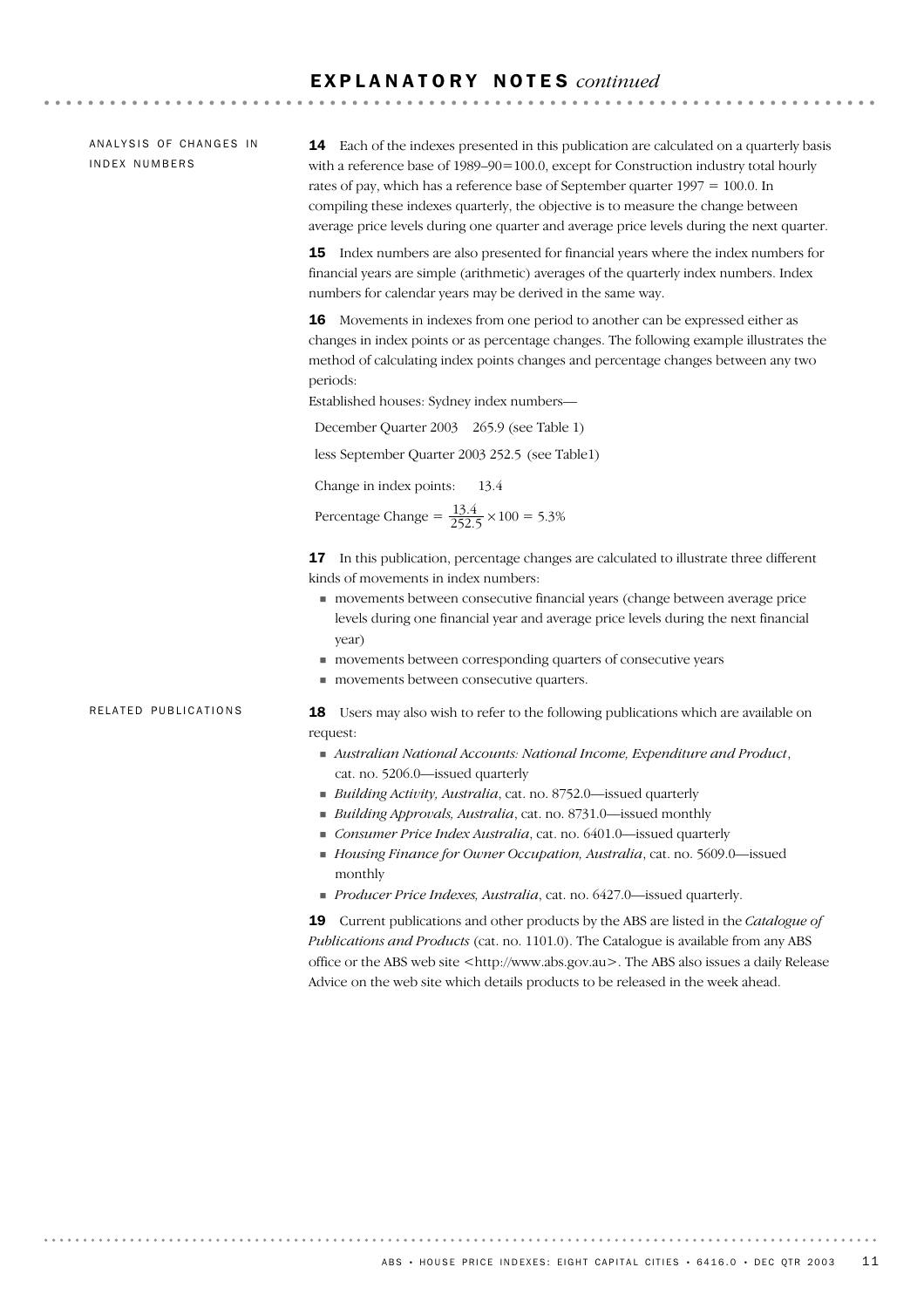#### E X P L A N A T O R Y N O T E S *continued*

ANALYSIS OF CHANGES IN IN DEX NUMBERS

14 Each of the indexes presented in this publication are calculated on a quarterly basis with a reference base of 1989–90=100.0, except for Construction industry total hourly rates of pay, which has a reference base of September quarter 1997 = 100.0. In compiling these indexes quarterly, the objective is to measure the change between average price levels during one quarter and average price levels during the next quarter.

15 Index numbers are also presented for financial years where the index numbers for financial years are simple (arithmetic) averages of the quarterly index numbers. Index numbers for calendar years may be derived in the same way.

16 Movements in indexes from one period to another can be expressed either as changes in index points or as percentage changes. The following example illustrates the method of calculating index points changes and percentage changes between any two periods:

Established houses: Sydney index numbers—

December Quarter 2003 265.9 (see Table 1)

less September Quarter 2003 252.5 (see Table1)

Change in index points: 13.4

Percentage Change =  $\frac{13.4}{252.5} \times 100 = 5.3\%$ 

**17** In this publication, percentage changes are calculated to illustrate three different kinds of movements in index numbers:

- ! movements between consecutive financial years (change between average price levels during one financial year and average price levels during the next financial year)
- ! movements between corresponding quarters of consecutive years
- $\blacksquare$  movements between consecutive quarters.

RELATED PUBLICATIONS

18 Users may also wish to refer to the following publications which are available on request:

- ! *Australian National Accounts: National Income, Expenditure and Product*, cat. no. 5206.0—issued quarterly
- ! *Building Activity, Australia*, cat. no. 8752.0—issued quarterly
- ! *Building Approvals, Australia*, cat. no. 8731.0—issued monthly
- ! *Consumer Price Index Australia*, cat. no. 6401.0—issued quarterly
- ! *Housing Finance for Owner Occupation, Australia*, cat. no. 5609.0—issued monthly
- ! *Producer Price Indexes, Australia*, cat. no. 6427.0—issued quarterly.

19 Current publications and other products by the ABS are listed in the *Catalogue of Publications and Products* (cat. no. 1101.0). The Catalogue is available from any ABS office or the ABS web site <http://www.abs.gov.au>. The ABS also issues a daily Release Advice on the web site which details products to be released in the week ahead.